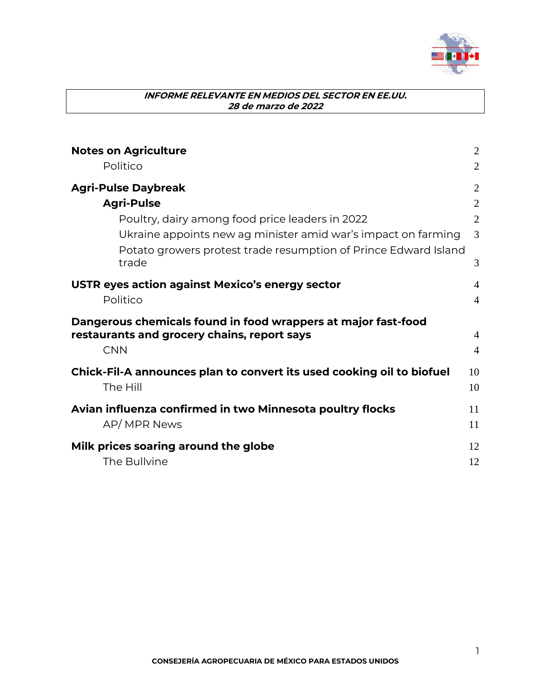

| <b>Notes on Agriculture</b>                                           | $\overline{2}$ |
|-----------------------------------------------------------------------|----------------|
| Politico                                                              | $\overline{2}$ |
| <b>Agri-Pulse Daybreak</b>                                            | $\overline{2}$ |
| <b>Agri-Pulse</b>                                                     | $\overline{2}$ |
| Poultry, dairy among food price leaders in 2022                       | $\overline{2}$ |
| Ukraine appoints new ag minister amid war's impact on farming         | 3              |
| Potato growers protest trade resumption of Prince Edward Island       |                |
| trade                                                                 | 3              |
| USTR eyes action against Mexico's energy sector                       | $\overline{4}$ |
| Politico                                                              | $\overline{4}$ |
| Dangerous chemicals found in food wrappers at major fast-food         |                |
| restaurants and grocery chains, report says                           | $\overline{4}$ |
| <b>CNN</b>                                                            | $\overline{4}$ |
| Chick-Fil-A announces plan to convert its used cooking oil to biofuel | 10             |
| The Hill                                                              | 10             |
| Avian influenza confirmed in two Minnesota poultry flocks             | 11             |
| AP/MPR News                                                           | 11             |
| Milk prices soaring around the globe                                  | 12             |
| The Bullvine                                                          | 12             |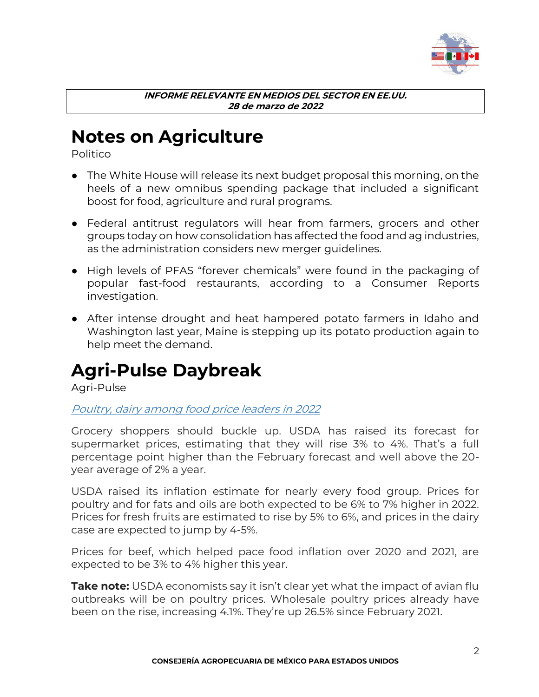

# <span id="page-1-0"></span>**Notes on Agriculture**

<span id="page-1-1"></span>Politico

- The White House will release its next budget proposal this morning, on the heels of a new omnibus spending package that included a significant boost for food, agriculture and rural programs.
- Federal antitrust regulators will hear from farmers, grocers and other groups today on how consolidation has affected the food and ag industries, as the administration considers new merger guidelines.
- High levels of PFAS "forever chemicals" were found in the packaging of popular fast-food restaurants, according to a Consumer Reports investigation.
- After intense drought and heat hampered potato farmers in Idaho and Washington last year, Maine is stepping up its potato production again to help meet the demand.

# <span id="page-1-2"></span>**Agri-Pulse Daybreak**

<span id="page-1-3"></span>Agri-Pulse

<span id="page-1-4"></span>Poultry, dairy among food price leaders in 2022

Grocery shoppers should buckle up. USDA has raised its forecast for supermarket prices, estimating that they will rise 3% to 4%. That's a full percentage point higher than the February forecast and well above the 20 year average of 2% a year.

USDA raised its inflation estimate for nearly every food group. Prices for poultry and for fats and oils are both expected to be 6% to 7% higher in 2022. Prices for fresh fruits are estimated to rise by 5% to 6%, and prices in the dairy case are expected to jump by 4-5%.

Prices for beef, which helped pace food inflation over 2020 and 2021, are expected to be 3% to 4% higher this year.

**Take note:** USDA economists say it isn't clear yet what the impact of avian flu outbreaks will be on poultry prices. Wholesale poultry prices already have been on the rise, increasing 4.1%. They're up 26.5% since February 2021.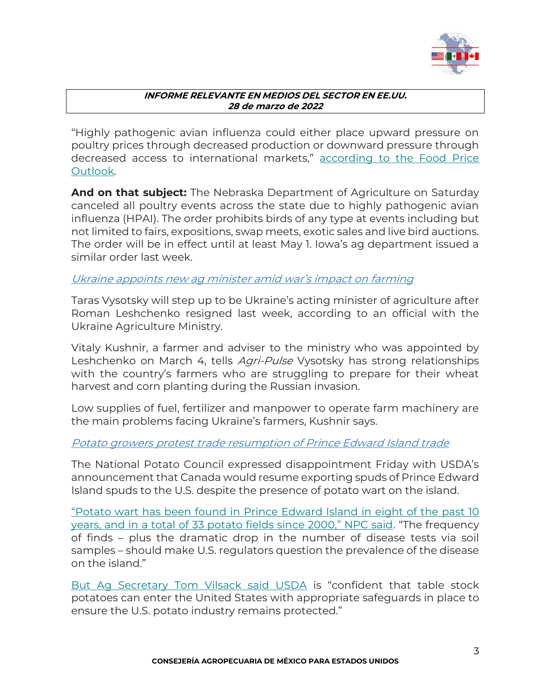

"Highly pathogenic avian influenza could either place upward pressure on poultry prices through decreased production or downward pressure through decreased access to international markets," [according to the Food Price](https://agri-pulse.us12.list-manage.com/track/click?u=f5a0aaec713d79bbd5f7ec87c&id=e88a12bfdb&e=0387767c24)  [Outlook.](https://agri-pulse.us12.list-manage.com/track/click?u=f5a0aaec713d79bbd5f7ec87c&id=e88a12bfdb&e=0387767c24)

**And on that subject:** The Nebraska Department of Agriculture on Saturday canceled all poultry events across the state due to highly pathogenic avian influenza (HPAI). The order prohibits birds of any type at events including but not limited to fairs, expositions, swap meets, exotic sales and live bird auctions. The order will be in effect until at least May 1. Iowa's ag department issued a similar order last week.

#### <span id="page-2-0"></span>Ukraine appoints new ag minister amid war's impact on farming

Taras Vysotsky will step up to be Ukraine's acting minister of agriculture after Roman Leshchenko resigned last week, according to an official with the Ukraine Agriculture Ministry.

Vitaly Kushnir, a farmer and adviser to the ministry who was appointed by Leshchenko on March 4, tells Agri-Pulse Vysotsky has strong relationships with the country's farmers who are struggling to prepare for their wheat harvest and corn planting during the Russian invasion.

Low supplies of fuel, fertilizer and manpower to operate farm machinery are the main problems facing Ukraine's farmers, Kushnir says.

#### <span id="page-2-1"></span>Potato growers protest trade resumption of Prince Edward Island trade

The National Potato Council expressed disappointment Friday with USDA's announcement that Canada would resume exporting spuds of Prince Edward Island spuds to the U.S. despite the presence of potato wart on the island.

["Potato wart has been found in Prince Edward Island in e](https://agri-pulse.us12.list-manage.com/track/click?u=f5a0aaec713d79bbd5f7ec87c&id=108399cf55&e=0387767c24)ight of the past 10 [years, and in a total of 33 potato fields since 2000," NPC said.](https://agri-pulse.us12.list-manage.com/track/click?u=f5a0aaec713d79bbd5f7ec87c&id=108399cf55&e=0387767c24) "The frequency of finds – plus the dramatic drop in the number of disease tests via soil samples – should make U.S. regulators question the prevalence of the disease on the island."

[But Ag Secretary Tom Vilsack said USDA](https://agri-pulse.us12.list-manage.com/track/click?u=f5a0aaec713d79bbd5f7ec87c&id=ad71803d9d&e=0387767c24) is "confident that table stock potatoes can enter the United States with appropriate safeguards in place to ensure the U.S. potato industry remains protected."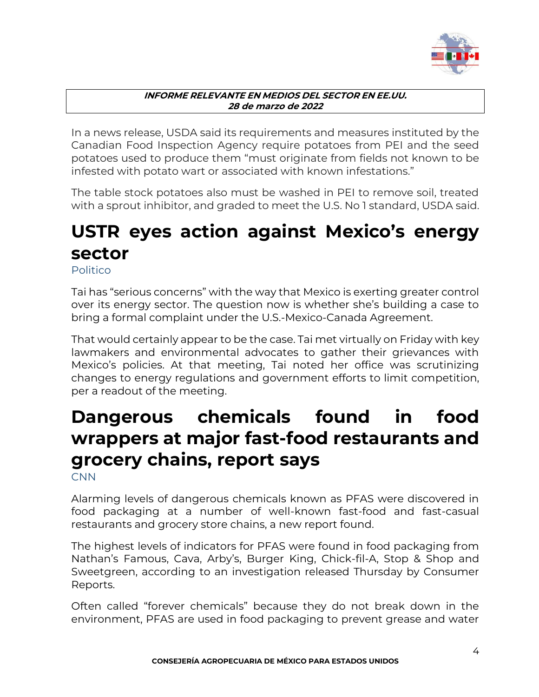

In a news release, USDA said its requirements and measures instituted by the Canadian Food Inspection Agency require potatoes from PEI and the seed potatoes used to produce them "must originate from fields not known to be infested with potato wart or associated with known infestations."

The table stock potatoes also must be washed in PEI to remove soil, treated with a sprout inhibitor, and graded to meet the U.S. No 1 standard, USDA said.

# <span id="page-3-0"></span>**USTR eyes action against Mexico's energy sector**

<span id="page-3-1"></span>Politico

Tai has "serious concerns" with the way that Mexico is exerting greater control over its energy sector. The question now is whether she's building a case to bring a formal complaint under the U.S.-Mexico-Canada Agreement.

That would certainly appear to be the case. Tai met virtually on Friday with key lawmakers and environmental advocates to gather their grievances with Mexico's policies. At that meeting, Tai noted her office was scrutinizing changes to energy regulations and government efforts to limit competition, per a readout of the meeting.

### <span id="page-3-2"></span>**Dangerous chemicals found in food wrappers at major fast-food restaurants and grocery chains, report says CNN**

<span id="page-3-3"></span>Alarming levels of dangerous chemicals known as PFAS were discovered in food packaging at a number of well-known fast-food and fast-casual restaurants and grocery store chains, a new report found.

The highest levels of indicators for PFAS were found in food packaging from Nathan's Famous, Cava, Arby's, Burger King, Chick-fil-A, Stop & Shop and Sweetgreen, according to an investigation released Thursday by Consumer Reports.

Often called "forever chemicals" because they do not break down in the environment, PFAS are used in food packaging to prevent grease and water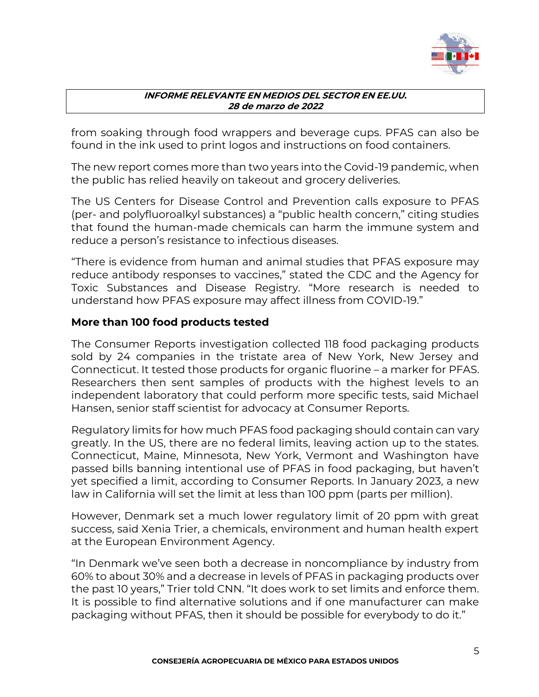

from soaking through food wrappers and beverage cups. PFAS can also be found in the ink used to print logos and instructions on food containers.

The new report comes more than two years into the Covid-19 pandemic, when the public has relied heavily on takeout and grocery deliveries.

The US Centers for Disease Control and Prevention calls exposure to PFAS (per- and polyfluoroalkyl substances) a "public health concern," citing studies that found the human-made chemicals can harm the immune system and reduce a person's resistance to infectious diseases.

"There is evidence from human and animal studies that PFAS exposure may reduce antibody responses to vaccines," stated the CDC and the Agency for Toxic Substances and Disease Registry. "More research is needed to understand how PFAS exposure may affect illness from COVID-19."

#### **More than 100 food products tested**

The Consumer Reports investigation collected 118 food packaging products sold by 24 companies in the tristate area of New York, New Jersey and Connecticut. It tested those products for organic fluorine – a marker for PFAS. Researchers then sent samples of products with the highest levels to an independent laboratory that could perform more specific tests, said Michael Hansen, senior staff scientist for advocacy at Consumer Reports.

Regulatory limits for how much PFAS food packaging should contain can vary greatly. In the US, there are no federal limits, leaving action up to the states. Connecticut, Maine, Minnesota, New York, Vermont and Washington have passed bills banning intentional use of PFAS in food packaging, but haven't yet specified a limit, according to Consumer Reports. In January 2023, a new law in California will set the limit at less than 100 ppm (parts per million).

However, Denmark set a much lower regulatory limit of 20 ppm with great success, said Xenia Trier, a chemicals, environment and human health expert at the European Environment Agency.

"In Denmark we've seen both a decrease in noncompliance by industry from 60% to about 30% and a decrease in levels of PFAS in packaging products over the past 10 years," Trier told CNN. "It does work to set limits and enforce them. It is possible to find alternative solutions and if one manufacturer can make packaging without PFAS, then it should be possible for everybody to do it."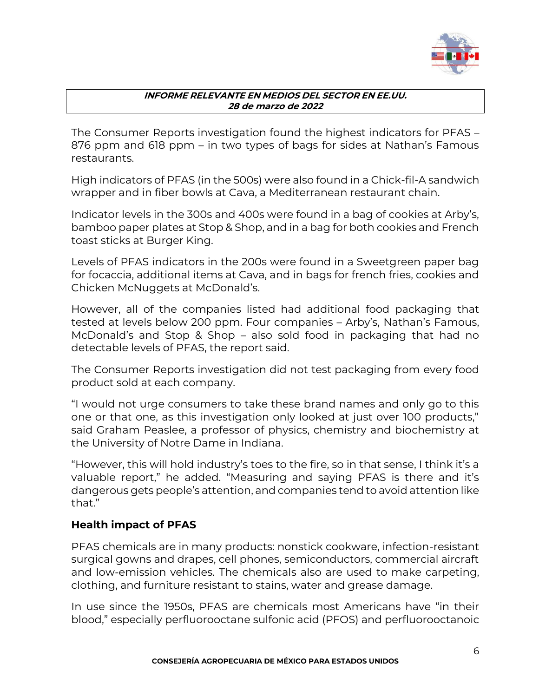

The Consumer Reports investigation found the highest indicators for PFAS – 876 ppm and 618 ppm – in two types of bags for sides at Nathan's Famous restaurants.

High indicators of PFAS (in the 500s) were also found in a Chick-fil-A sandwich wrapper and in fiber bowls at Cava, a Mediterranean restaurant chain.

Indicator levels in the 300s and 400s were found in a bag of cookies at Arby's, bamboo paper plates at Stop & Shop, and in a bag for both cookies and French toast sticks at Burger King.

Levels of PFAS indicators in the 200s were found in a Sweetgreen paper bag for focaccia, additional items at Cava, and in bags for french fries, cookies and Chicken McNuggets at McDonald's.

However, all of the companies listed had additional food packaging that tested at levels below 200 ppm. Four companies – Arby's, Nathan's Famous, McDonald's and Stop & Shop – also sold food in packaging that had no detectable levels of PFAS, the report said.

The Consumer Reports investigation did not test packaging from every food product sold at each company.

"I would not urge consumers to take these brand names and only go to this one or that one, as this investigation only looked at just over 100 products," said Graham Peaslee, a professor of physics, chemistry and biochemistry at the University of Notre Dame in Indiana.

"However, this will hold industry's toes to the fire, so in that sense, I think it's a valuable report," he added. "Measuring and saying PFAS is there and it's dangerous gets people's attention, and companies tend to avoid attention like that."

#### **Health impact of PFAS**

PFAS chemicals are in many products: nonstick cookware, infection-resistant surgical gowns and drapes, cell phones, semiconductors, commercial aircraft and low-emission vehicles. The chemicals also are used to make carpeting, clothing, and furniture resistant to stains, water and grease damage.

In use since the 1950s, PFAS are chemicals most Americans have "in their blood," especially perfluorooctane sulfonic acid (PFOS) and perfluorooctanoic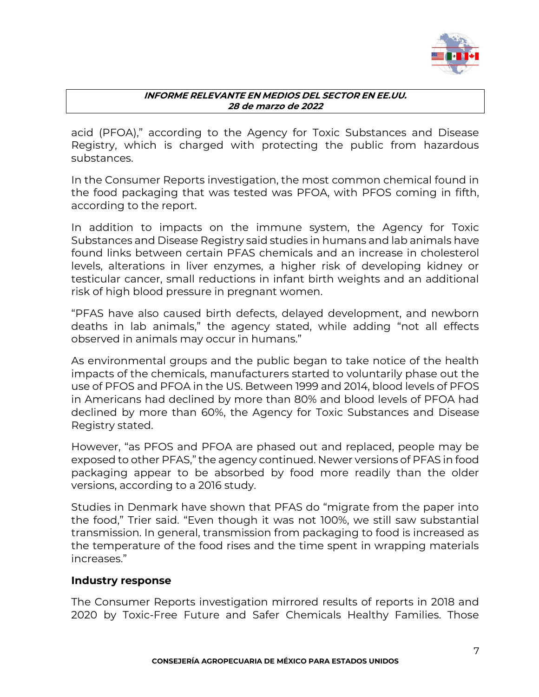

acid (PFOA)," according to the Agency for Toxic Substances and Disease Registry, which is charged with protecting the public from hazardous substances.

In the Consumer Reports investigation, the most common chemical found in the food packaging that was tested was PFOA, with PFOS coming in fifth, according to the report.

In addition to impacts on the immune system, the Agency for Toxic Substances and Disease Registry said studies in humans and lab animals have found links between certain PFAS chemicals and an increase in cholesterol levels, alterations in liver enzymes, a higher risk of developing kidney or testicular cancer, small reductions in infant birth weights and an additional risk of high blood pressure in pregnant women.

"PFAS have also caused birth defects, delayed development, and newborn deaths in lab animals," the agency stated, while adding "not all effects observed in animals may occur in humans."

As environmental groups and the public began to take notice of the health impacts of the chemicals, manufacturers started to voluntarily phase out the use of PFOS and PFOA in the US. Between 1999 and 2014, blood levels of PFOS in Americans had declined by more than 80% and blood levels of PFOA had declined by more than 60%, the Agency for Toxic Substances and Disease Registry stated.

However, "as PFOS and PFOA are phased out and replaced, people may be exposed to other PFAS," the agency continued. Newer versions of PFAS in food packaging appear to be absorbed by food more readily than the older versions, according to a 2016 study.

Studies in Denmark have shown that PFAS do "migrate from the paper into the food," Trier said. "Even though it was not 100%, we still saw substantial transmission. In general, transmission from packaging to food is increased as the temperature of the food rises and the time spent in wrapping materials increases."

#### **Industry response**

The Consumer Reports investigation mirrored results of reports in 2018 and 2020 by Toxic-Free Future and Safer Chemicals Healthy Families. Those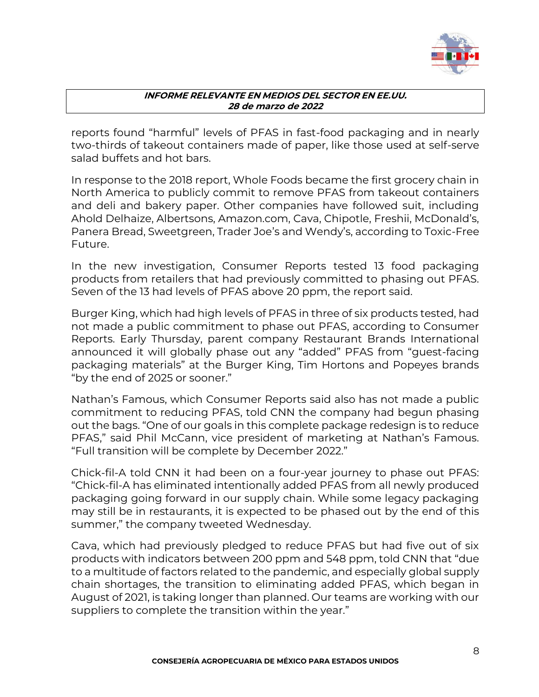

reports found "harmful" levels of PFAS in fast-food packaging and in nearly two-thirds of takeout containers made of paper, like those used at self-serve salad buffets and hot bars.

In response to the 2018 report, Whole Foods became the first grocery chain in North America to publicly commit to remove PFAS from takeout containers and deli and bakery paper. Other companies have followed suit, including Ahold Delhaize, Albertsons, Amazon.com, Cava, Chipotle, Freshii, McDonald's, Panera Bread, Sweetgreen, Trader Joe's and Wendy's, according to Toxic-Free Future.

In the new investigation, Consumer Reports tested 13 food packaging products from retailers that had previously committed to phasing out PFAS. Seven of the 13 had levels of PFAS above 20 ppm, the report said.

Burger King, which had high levels of PFAS in three of six products tested, had not made a public commitment to phase out PFAS, according to Consumer Reports. Early Thursday, parent company Restaurant Brands International announced it will globally phase out any "added" PFAS from "guest-facing packaging materials" at the Burger King, Tim Hortons and Popeyes brands "by the end of 2025 or sooner."

Nathan's Famous, which Consumer Reports said also has not made a public commitment to reducing PFAS, told CNN the company had begun phasing out the bags. "One of our goals in this complete package redesign is to reduce PFAS," said Phil McCann, vice president of marketing at Nathan's Famous. "Full transition will be complete by December 2022."

Chick-fil-A told CNN it had been on a four-year journey to phase out PFAS: "Chick-fil-A has eliminated intentionally added PFAS from all newly produced packaging going forward in our supply chain. While some legacy packaging may still be in restaurants, it is expected to be phased out by the end of this summer," the company tweeted Wednesday.

Cava, which had previously pledged to reduce PFAS but had five out of six products with indicators between 200 ppm and 548 ppm, told CNN that "due to a multitude of factors related to the pandemic, and especially global supply chain shortages, the transition to eliminating added PFAS, which began in August of 2021, is taking longer than planned. Our teams are working with our suppliers to complete the transition within the year."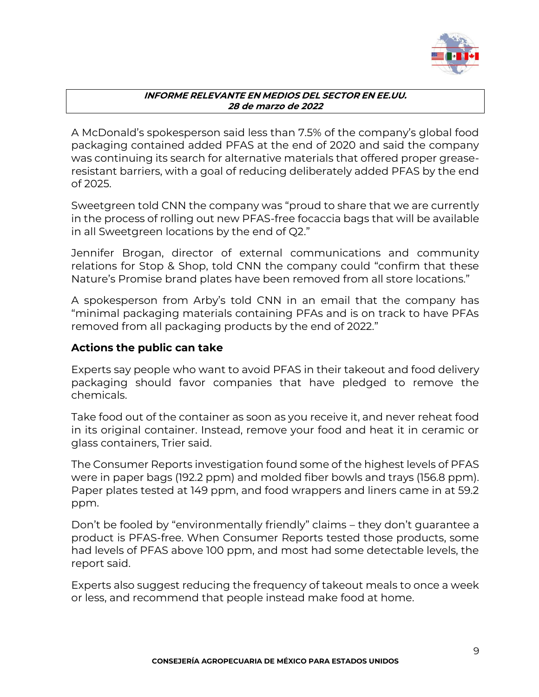

A McDonald's spokesperson said less than 7.5% of the company's global food packaging contained added PFAS at the end of 2020 and said the company was continuing its search for alternative materials that offered proper greaseresistant barriers, with a goal of reducing deliberately added PFAS by the end of 2025.

Sweetgreen told CNN the company was "proud to share that we are currently in the process of rolling out new PFAS-free focaccia bags that will be available in all Sweetgreen locations by the end of Q2."

Jennifer Brogan, director of external communications and community relations for Stop & Shop, told CNN the company could "confirm that these Nature's Promise brand plates have been removed from all store locations."

A spokesperson from Arby's told CNN in an email that the company has "minimal packaging materials containing PFAs and is on track to have PFAs removed from all packaging products by the end of 2022."

#### **Actions the public can take**

Experts say people who want to avoid PFAS in their takeout and food delivery packaging should favor companies that have pledged to remove the chemicals.

Take food out of the container as soon as you receive it, and never reheat food in its original container. Instead, remove your food and heat it in ceramic or glass containers, Trier said.

The Consumer Reports investigation found some of the highest levels of PFAS were in paper bags (192.2 ppm) and molded fiber bowls and trays (156.8 ppm). Paper plates tested at 149 ppm, and food wrappers and liners came in at 59.2 ppm.

Don't be fooled by "environmentally friendly" claims – they don't guarantee a product is PFAS-free. When Consumer Reports tested those products, some had levels of PFAS above 100 ppm, and most had some detectable levels, the report said.

Experts also suggest reducing the frequency of takeout meals to once a week or less, and recommend that people instead make food at home.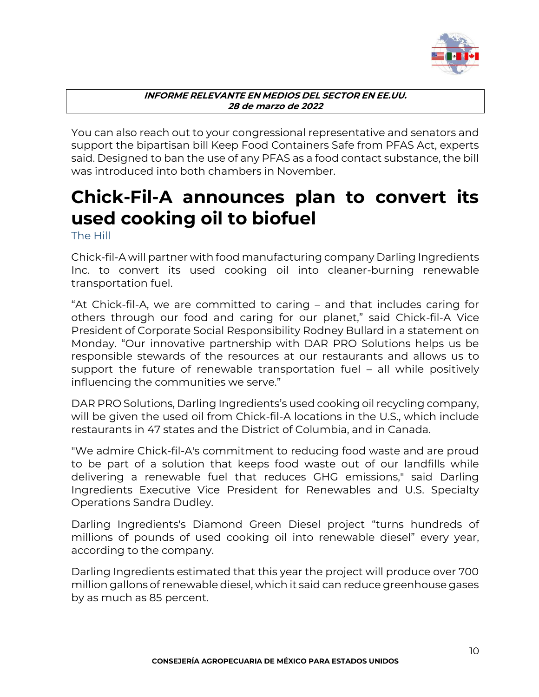

You can also reach out to your congressional representative and senators and support the bipartisan bill Keep Food Containers Safe from PFAS Act, experts said. Designed to ban the use of any PFAS as a food contact substance, the bill was introduced into both chambers in November.

# <span id="page-9-0"></span>**Chick-Fil-A announces plan to convert its used cooking oil to biofuel**

<span id="page-9-1"></span>The Hill

Chick-fil-A will partner with food manufacturing company Darling Ingredients Inc. to convert its used cooking oil into cleaner-burning renewable transportation fuel.

"At Chick-fil-A, we are committed to caring – and that includes caring for others through our food and caring for our planet," said Chick-fil-A Vice President of Corporate Social Responsibility Rodney Bullard [in a statement on](https://ir.darlingii.com/2022-03-21-Chick-fil-A,-Inc-Chooses-Darling-Ingredients-to-Turn-Used-Cooking-Oil-into-Renewable-Fuel)  [Monday](https://ir.darlingii.com/2022-03-21-Chick-fil-A,-Inc-Chooses-Darling-Ingredients-to-Turn-Used-Cooking-Oil-into-Renewable-Fuel). "Our innovative partnership with DAR PRO Solutions helps us be responsible stewards of the resources at our restaurants and allows us to support the future of renewable transportation fuel – all while positively influencing the communities we serve."

DAR PRO Solutions, Darling Ingredients's used cooking oil recycling company, will be given the used oil from Chick-fil-A locations in the U.S., which include restaurants in 47 states and the District of Columbia, and in Canada.

"We admire Chick-fil-A's commitment to reducing food waste and are proud to be part of a solution that keeps food waste out of our landfills while delivering a renewable fuel that reduces GHG emissions," said Darling Ingredients Executive Vice President for Renewables and U.S. Specialty Operations Sandra Dudley.

Darling Ingredients's Diamond Green Diesel project "turns hundreds of millions of pounds of used cooking oil into renewable diesel" every year, according to the company.

Darling Ingredients estimated that this year the project will produce over 700 million gallons of renewable diesel, which it said can reduce greenhouse gases by as much as 85 percent.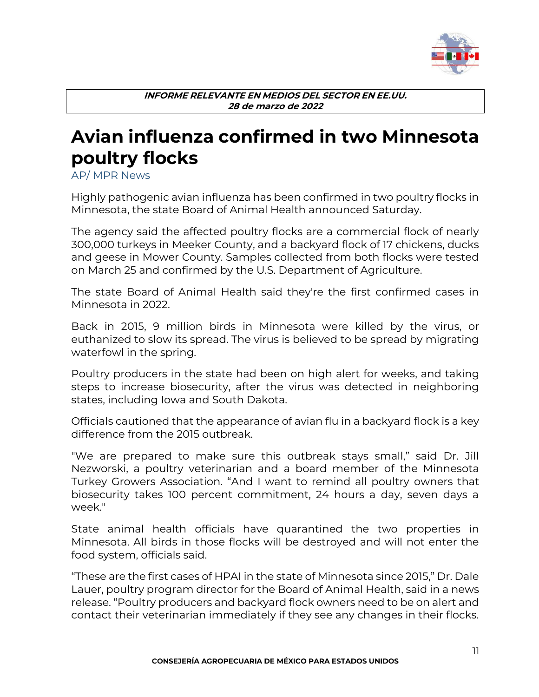

# <span id="page-10-0"></span>**Avian influenza confirmed in two Minnesota poultry flocks**

<span id="page-10-1"></span>AP/ MPR News

Highly pathogenic avian influenza has been confirmed in two poultry flocks in Minnesota, the state Board of Animal Health announced Saturday.

[The agency said](https://www.bah.state.mn.us/news_release/highly-pathogenic-avian-influenza-confirmed-in-two-minnesota-flocks/) the affected poultry flocks are a commercial flock of nearly 300,000 turkeys in Meeker County, and a backyard flock of 17 chickens, ducks and geese in Mower County. Samples collected from both flocks were tested on March 25 and confirmed by the U.S. Department of Agriculture.

The state Board of Animal Health said they're the first confirmed cases in Minnesota in 2022.

[Back in 2015,](https://www.mprnews.org/story/2015/05/04/bird-flu-crisis) 9 million birds in Minnesota were killed by the virus, or euthanized to slow its spread. The virus is believed to be spread by migrating waterfowl in the spring.

Poultry producers in the state [had been on high alert for weeks,](https://www.mprnews.org/story/2022/03/08/threat-of-deadly-virus-keeps-poultry-farmers-on-edge) and taking steps to increase biosecurity, after the virus was detected in neighboring states, including Iowa and South Dakota.

Officials cautioned that the appearance of avian flu in a backyard flock is a key difference from the 2015 outbreak.

"We are prepared to make sure this outbreak stays small," said Dr. Jill Nezworski, a poultry veterinarian and a board member of the Minnesota Turkey Growers Association. "And I want to remind all poultry owners that biosecurity takes 100 percent commitment, 24 hours a day, seven days a week."

State animal health officials have quarantined the two properties in Minnesota. All birds in those flocks will be destroyed and will not enter the food system, officials said.

"These are the first cases of HPAI in the state of Minnesota since 2015," Dr. Dale Lauer, poultry program director for the Board of Animal Health, said in a news release. "Poultry producers and backyard flock owners need to be on alert and contact their veterinarian immediately if they see any changes in their flocks.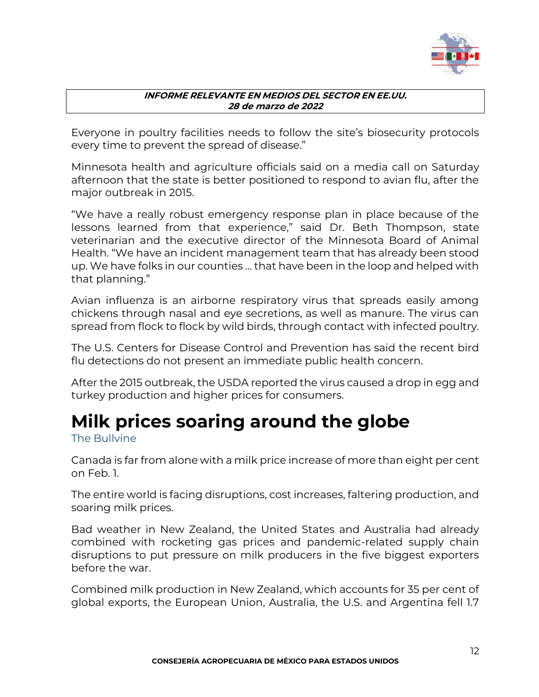

Everyone in poultry facilities needs to follow the site's biosecurity protocols every time to prevent the spread of disease."

Minnesota health and agriculture officials said on a media call on Saturday afternoon that the state is better positioned to respond to avian flu, after the major outbreak in 2015.

"We have a really robust emergency response plan in place because of the lessons learned from that experience," said Dr. Beth Thompson, state veterinarian and the executive director of the Minnesota Board of Animal Health. "We have an incident management team that has already been stood up. We have folks in our counties … that have been in the loop and helped with that planning."

Avian influenza is an airborne respiratory virus that spreads easily among chickens through nasal and eye secretions, as well as manure. The virus can spread from flock to flock by wild birds, through contact with infected poultry.

The U.S. Centers for Disease Control and Prevention has said the recent bird flu detections do not present an immediate public health concern.

After the 2015 outbreak, the USDA reported the virus caused a drop in egg and turkey production and higher prices for consumers.

# <span id="page-11-0"></span>**Milk prices soaring around the globe**

<span id="page-11-1"></span>The Bullvine

Canada is far from alone with a milk price increase of more than eight per cent on Feb. 1.

The entire world is facing disruptions, cost increases, faltering production, and soaring milk prices.

Bad weather in New Zealand, the United States and Australia had already combined with rocketing gas prices and pandemic-related supply chain disruptions to put pressure on milk producers in the five biggest exporters before the war.

Combined milk production in New Zealand, which accounts for 35 per cent of global exports, the European Union, Australia, the U.S. and Argentina fell 1.7